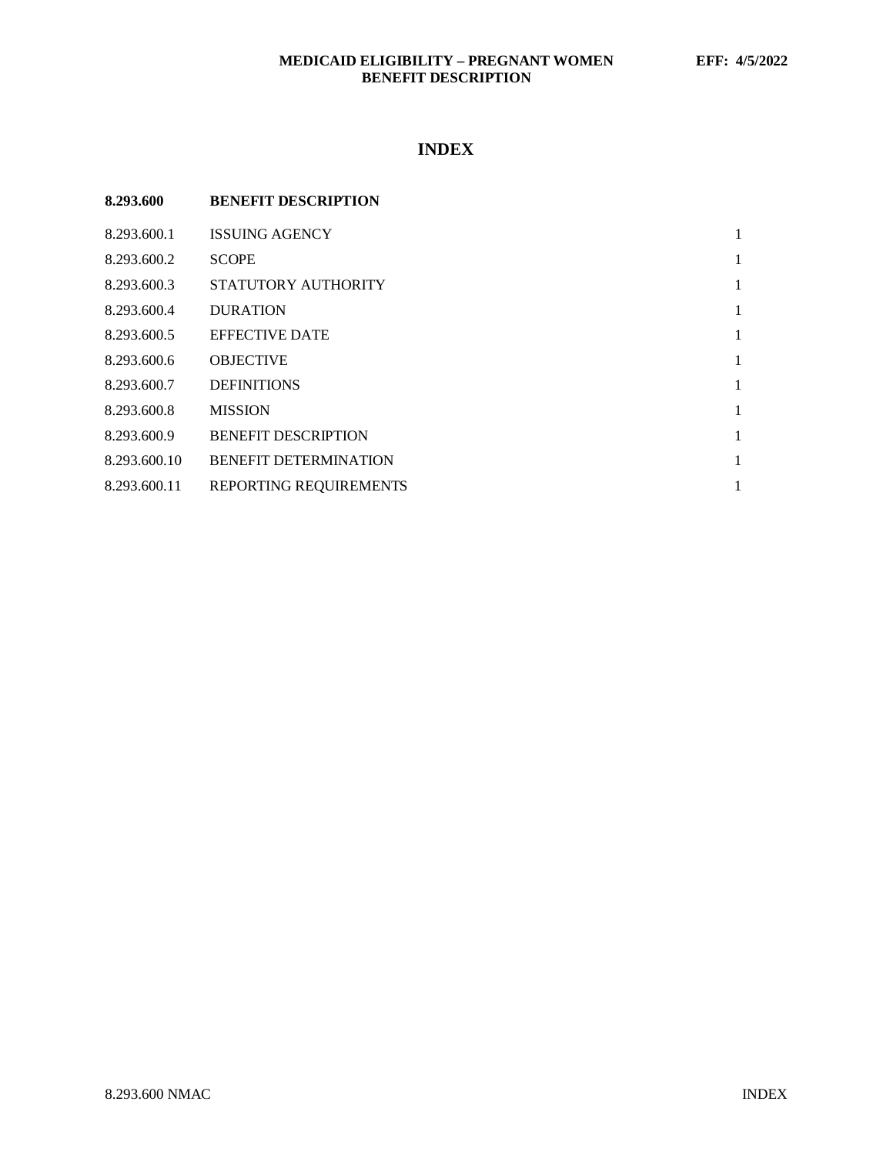# **MEDICAID ELIGIBILITY – PREGNANT WOMEN EFF: 4/5/2022 BENEFIT DESCRIPTION**

# **INDEX**

| 8.293.600    | <b>BENEFIT DESCRIPTION</b>   |   |
|--------------|------------------------------|---|
| 8.293.600.1  | <b>ISSUING AGENCY</b>        | 1 |
| 8.293.600.2  | <b>SCOPE</b>                 | 1 |
| 8.293.600.3  | STATUTORY AUTHORITY          | 1 |
| 8.293.600.4  | <b>DURATION</b>              | 1 |
| 8.293.600.5  | <b>EFFECTIVE DATE</b>        | 1 |
| 8.293.600.6  | <b>OBJECTIVE</b>             | 1 |
| 8.293.600.7  | <b>DEFINITIONS</b>           | 1 |
| 8.293.600.8  | <b>MISSION</b>               | 1 |
| 8.293.600.9  | <b>BENEFIT DESCRIPTION</b>   | 1 |
| 8.293.600.10 | <b>BENEFIT DETERMINATION</b> |   |
| 8.293.600.11 | REPORTING REQUIREMENTS       |   |